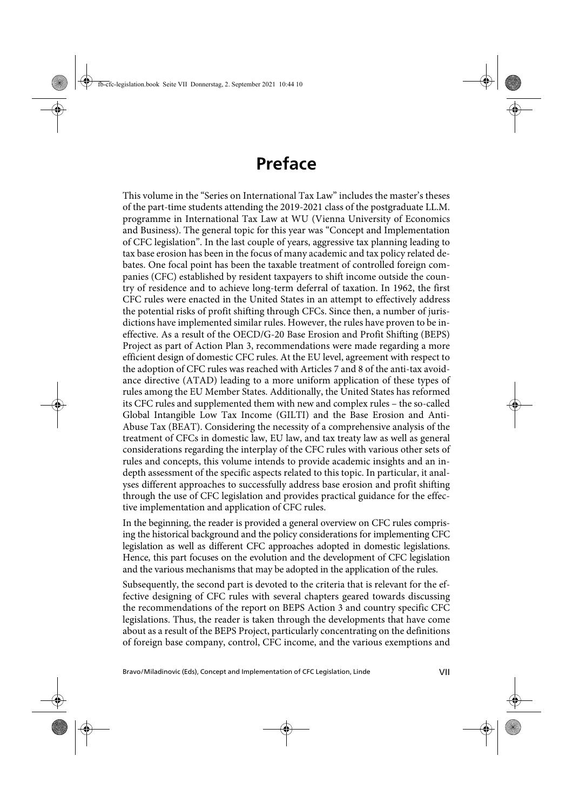## **Preface**

This volume in the "Series on International Tax Law" includes the master's theses of the part-time students attending the 2019-2021 class of the postgraduate LL.M. programme in International Tax Law at WU (Vienna University of Economics and Business). The general topic for this year was "Concept and Implementation of CFC legislation". In the last couple of years, aggressive tax planning leading to tax base erosion has been in the focus of many academic and tax policy related debates. One focal point has been the taxable treatment of controlled foreign companies (CFC) established by resident taxpayers to shift income outside the country of residence and to achieve long-term deferral of taxation. In 1962, the first CFC rules were enacted in the United States in an attempt to effectively address the potential risks of profit shifting through CFCs. Since then, a number of jurisdictions have implemented similar rules. However, the rules have proven to be ineffective. As a result of the OECD/G-20 Base Erosion and Profit Shifting (BEPS) Project as part of Action Plan 3, recommendations were made regarding a more efficient design of domestic CFC rules. At the EU level, agreement with respect to the adoption of CFC rules was reached with Articles 7 and 8 of the anti-tax avoidance directive (ATAD) leading to a more uniform application of these types of rules among the EU Member States. Additionally, the United States has reformed its CFC rules and supplemented them with new and complex rules – the so-called Global Intangible Low Tax Income (GILTI) and the Base Erosion and Anti-Abuse Tax (BEAT). Considering the necessity of a comprehensive analysis of the treatment of CFCs in domestic law, EU law, and tax treaty law as well as general considerations regarding the interplay of the CFC rules with various other sets of rules and concepts, this volume intends to provide academic insights and an indepth assessment of the specific aspects related to this topic. In particular, it analyses different approaches to successfully address base erosion and profit shifting through the use of CFC legislation and provides practical guidance for the effective implementation and application of CFC rules.

In the beginning, the reader is provided a general overview on CFC rules comprising the historical background and the policy considerations for implementing CFC legislation as well as different CFC approaches adopted in domestic legislations. Hence, this part focuses on the evolution and the development of CFC legislation and the various mechanisms that may be adopted in the application of the rules.

Subsequently, the second part is devoted to the criteria that is relevant for the effective designing of CFC rules with several chapters geared towards discussing the recommendations of the report on BEPS Action 3 and country specific CFC legislations. Thus, the reader is taken through the developments that have come about as a result of the BEPS Project, particularly concentrating on the definitions of foreign base company, control, CFC income, and the various exemptions and